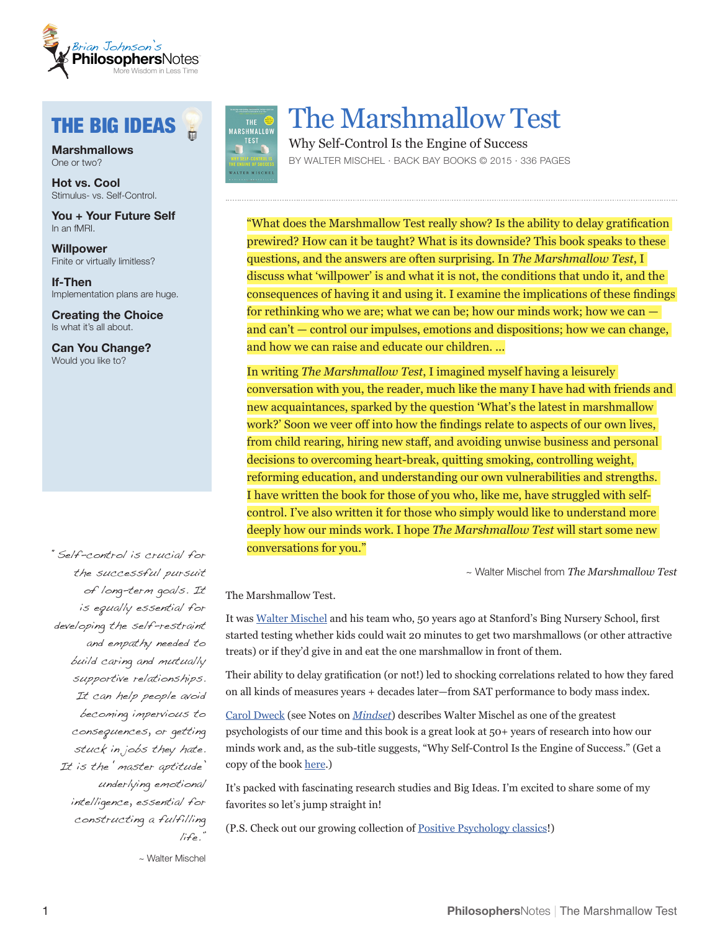

# THE BIG IDEAS

**Marshmallows** One or two?

**Hot vs. Cool** Stimulus- vs. Self-Control.

**You + Your Future Self** In an fMRI.

**Willpower** Finite or virtually limitless?

**If-Then** Implementation plans are huge.

**Creating the Choice** Is what it's all about.

**Can You Change?** Would you like to?

"Self-control is crucial for the successful pursuit of long-term goals. It is equally essential for developing the self-restraint and empathy needed to build caring and mutually supportive relationships. It can help people avoid becoming impervious to consequences, or getting stuck in jobs they hate. It is the 'master aptitude' underlying emotional intelligence, essential for constructing a fulfilling life."



目

# The Marshmallow Test

Why Self-Control Is the Engine of Success BY WALTER MISCHEL · BACK BAY BOOKS © 2015 · 336 PAGES

"What does the Marshmallow Test really show? Is the ability to delay gratification prewired? How can it be taught? What is its downside? This book speaks to these questions, and the answers are often surprising. In *The Marshmallow Test*, I discuss what 'willpower' is and what it is not, the conditions that undo it, and the consequences of having it and using it. I examine the implications of these findings for rethinking who we are; what we can be; how our minds work; how we can and can't — control our impulses, emotions and dispositions; how we can change, and how we can raise and educate our children. ...

In writing *The Marshmallow Test*, I imagined myself having a leisurely conversation with you, the reader, much like the many I have had with friends and new acquaintances, sparked by the question 'What's the latest in marshmallow work?' Soon we veer off into how the findings relate to aspects of our own lives, from child rearing, hiring new staff, and avoiding unwise business and personal decisions to overcoming heart-break, quitting smoking, controlling weight, reforming education, and understanding our own vulnerabilities and strengths. I have written the book for those of you who, like me, have struggled with selfcontrol. I've also written it for those who simply would like to understand more deeply how our minds work. I hope *The Marshmallow Test* will start some new conversations for you."

~ Walter Mischel from *The Marshmallow Test* 

The Marshmallow Test.

It was [Walter Mischel](https://brianjohnson.me/authors/walter-mischel) and his team who, 50 years ago at Stanford's Bing Nursery School, first started testing whether kids could wait 20 minutes to get two marshmallows (or other attractive treats) or if they'd give in and eat the one marshmallow in front of them.

Their ability to delay gratification (or not!) led to shocking correlations related to how they fared on all kinds of measures years + decades later—from SAT performance to body mass index.

[Carol Dweck](https://brianjohnson.me/authors/carol-dweck) (see Notes on *[Mindset](http://brianjohnson.me/philosophers-notes/mindset)*) describes Walter Mischel as one of the greatest psychologists of our time and this book is a great look at 50+ years of research into how our minds work and, as the sub-title suggests, "Why Self-Control Is the Engine of Success." (Get a copy of the book [here](http://www.amazon.com/Marshmallow-Test-Self-Control-Engine-Success/dp/0316230863).)

It's packed with fascinating research studies and Big Ideas. I'm excited to share some of my favorites so let's jump straight in!

(P.S. Check out our growing collection of [Positive Psychology classics](https://brianjohnson.me/philosophersnotes-tag/positive-psychology/)!)

~ Walter Mischel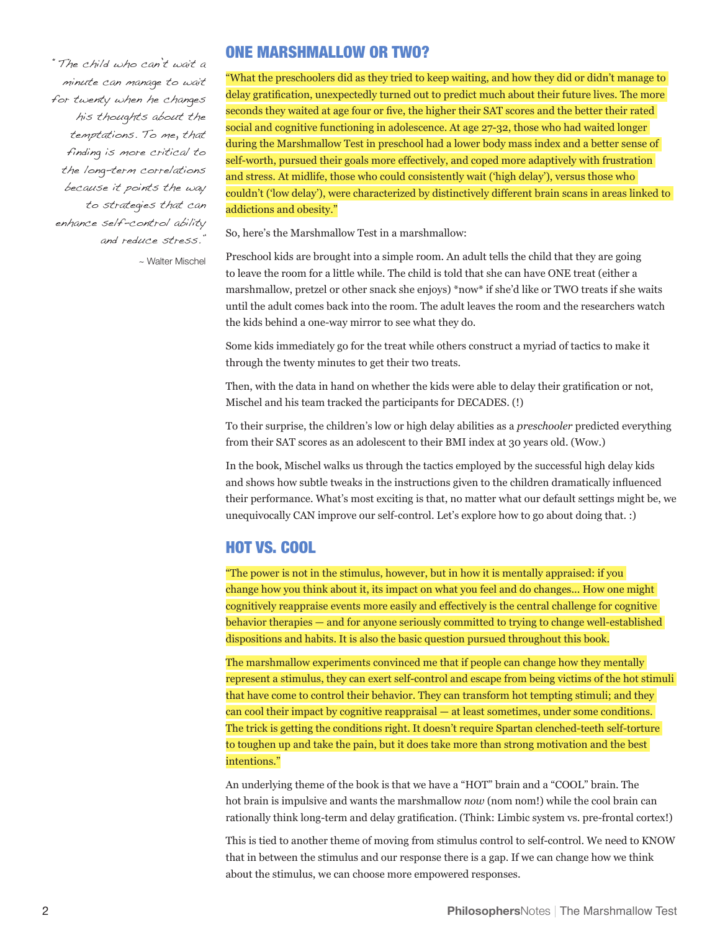"The child who can't wait a minute can manage to wait for twenty when he changes his thoughts about the temptations. To me, that finding is more critical to the long-term correlations because it points the way to strategies that can enhance self-control ability and reduce stress." ~ Walter Mischel

### ONE MARSHMALLOW OR TWO?

"What the preschoolers did as they tried to keep waiting, and how they did or didn't manage to delay gratification, unexpectedly turned out to predict much about their future lives. The more seconds they waited at age four or five, the higher their SAT scores and the better their rated social and cognitive functioning in adolescence. At age 27-32, those who had waited longer during the Marshmallow Test in preschool had a lower body mass index and a better sense of self-worth, pursued their goals more effectively, and coped more adaptively with frustration and stress. At midlife, those who could consistently wait ('high delay'), versus those who couldn't ('low delay'), were characterized by distinctively different brain scans in areas linked to addictions and obesity."

So, here's the Marshmallow Test in a marshmallow:

Preschool kids are brought into a simple room. An adult tells the child that they are going to leave the room for a little while. The child is told that she can have ONE treat (either a marshmallow, pretzel or other snack she enjoys) \*now\* if she'd like or TWO treats if she waits until the adult comes back into the room. The adult leaves the room and the researchers watch the kids behind a one-way mirror to see what they do.

Some kids immediately go for the treat while others construct a myriad of tactics to make it through the twenty minutes to get their two treats.

Then, with the data in hand on whether the kids were able to delay their gratification or not, Mischel and his team tracked the participants for DECADES. (!)

To their surprise, the children's low or high delay abilities as a *preschooler* predicted everything from their SAT scores as an adolescent to their BMI index at 30 years old. (Wow.)

In the book, Mischel walks us through the tactics employed by the successful high delay kids and shows how subtle tweaks in the instructions given to the children dramatically influenced their performance. What's most exciting is that, no matter what our default settings might be, we unequivocally CAN improve our self-control. Let's explore how to go about doing that. :)

## HOT VS. COOL

"The power is not in the stimulus, however, but in how it is mentally appraised: if you change how you think about it, its impact on what you feel and do changes... How one might cognitively reappraise events more easily and effectively is the central challenge for cognitive behavior therapies — and for anyone seriously committed to trying to change well-established dispositions and habits. It is also the basic question pursued throughout this book.

The marshmallow experiments convinced me that if people can change how they mentally represent a stimulus, they can exert self-control and escape from being victims of the hot stimuli that have come to control their behavior. They can transform hot tempting stimuli; and they can cool their impact by cognitive reappraisal — at least sometimes, under some conditions. The trick is getting the conditions right. It doesn't require Spartan clenched-teeth self-torture to toughen up and take the pain, but it does take more than strong motivation and the best intentions."

An underlying theme of the book is that we have a "HOT" brain and a "COOL" brain. The hot brain is impulsive and wants the marshmallow *now* (nom nom!) while the cool brain can rationally think long-term and delay gratification. (Think: Limbic system vs. pre-frontal cortex!)

This is tied to another theme of moving from stimulus control to self-control. We need to KNOW that in between the stimulus and our response there is a gap. If we can change how we think about the stimulus, we can choose more empowered responses.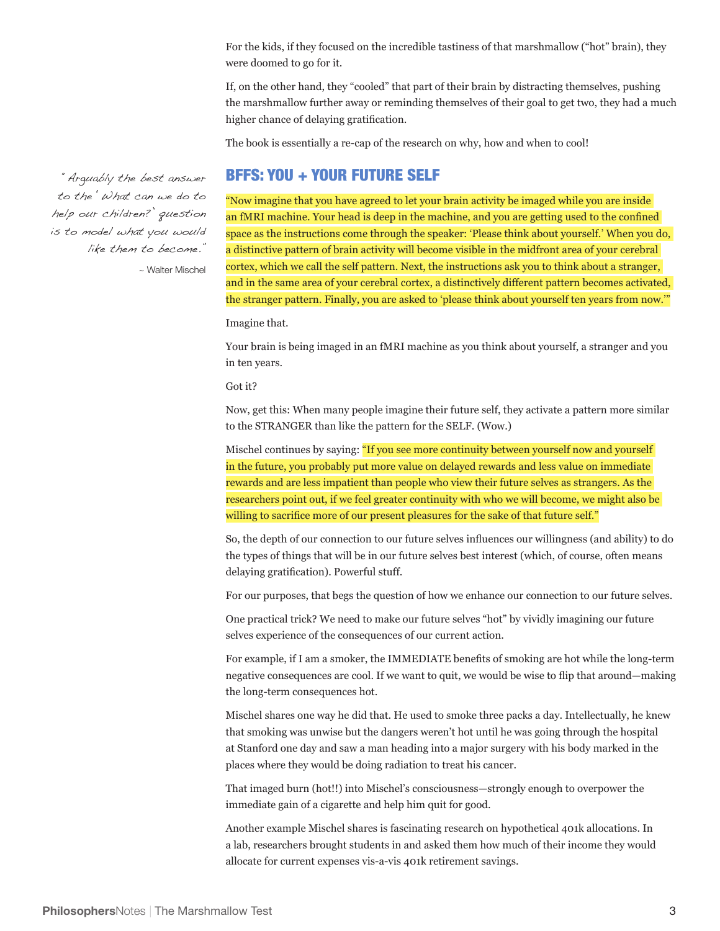For the kids, if they focused on the incredible tastiness of that marshmallow ("hot" brain), they were doomed to go for it.

If, on the other hand, they "cooled" that part of their brain by distracting themselves, pushing the marshmallow further away or reminding themselves of their goal to get two, they had a much higher chance of delaying gratification.

The book is essentially a re-cap of the research on why, how and when to cool!

#### BFFS: YOU + YOUR FUTURE SELF

"Arguably the best answer to the 'What can we do to help our children?' question is to model what you would like them to become."

~ Walter Mischel

"Now imagine that you have agreed to let your brain activity be imaged while you are inside an fMRI machine. Your head is deep in the machine, and you are getting used to the confined space as the instructions come through the speaker: 'Please think about yourself.' When you do, a distinctive pattern of brain activity will become visible in the midfront area of your cerebral cortex, which we call the self pattern. Next, the instructions ask you to think about a stranger, and in the same area of your cerebral cortex, a distinctively different pattern becomes activated, the stranger pattern. Finally, you are asked to 'please think about yourself ten years from now.'"

Imagine that.

Your brain is being imaged in an fMRI machine as you think about yourself, a stranger and you in ten years.

Got it?

Now, get this: When many people imagine their future self, they activate a pattern more similar to the STRANGER than like the pattern for the SELF. (Wow.)

Mischel continues by saying: "If you see more continuity between yourself now and yourself in the future, you probably put more value on delayed rewards and less value on immediate rewards and are less impatient than people who view their future selves as strangers. As the researchers point out, if we feel greater continuity with who we will become, we might also be willing to sacrifice more of our present pleasures for the sake of that future self."

So, the depth of our connection to our future selves influences our willingness (and ability) to do the types of things that will be in our future selves best interest (which, of course, often means delaying gratification). Powerful stuff.

For our purposes, that begs the question of how we enhance our connection to our future selves.

One practical trick? We need to make our future selves "hot" by vividly imagining our future selves experience of the consequences of our current action.

For example, if I am a smoker, the IMMEDIATE benefits of smoking are hot while the long-term negative consequences are cool. If we want to quit, we would be wise to flip that around—making the long-term consequences hot.

Mischel shares one way he did that. He used to smoke three packs a day. Intellectually, he knew that smoking was unwise but the dangers weren't hot until he was going through the hospital at Stanford one day and saw a man heading into a major surgery with his body marked in the places where they would be doing radiation to treat his cancer.

That imaged burn (hot!!) into Mischel's consciousness—strongly enough to overpower the immediate gain of a cigarette and help him quit for good.

Another example Mischel shares is fascinating research on hypothetical 401k allocations. In a lab, researchers brought students in and asked them how much of their income they would allocate for current expenses vis-a-vis 401k retirement savings.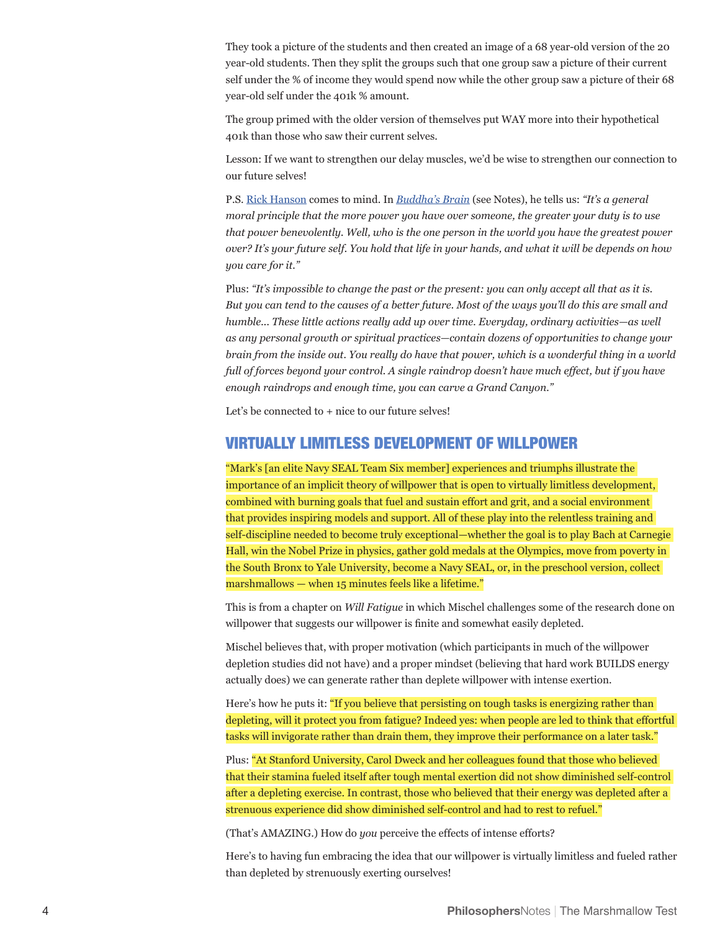They took a picture of the students and then created an image of a 68 year-old version of the 20 year-old students. Then they split the groups such that one group saw a picture of their current self under the % of income they would spend now while the other group saw a picture of their 68 year-old self under the 401k % amount.

The group primed with the older version of themselves put WAY more into their hypothetical 401k than those who saw their current selves.

Lesson: If we want to strengthen our delay muscles, we'd be wise to strengthen our connection to our future selves!

P.S. [Rick Hanson](https://brianjohnson.me/authors/rick-hanson) comes to mind. In *[Buddha's Brain](http://brianjohnson.me/philosophers-notes/buddhas-brain)* (see Notes), he tells us: *"It's a general moral principle that the more power you have over someone, the greater your duty is to use that power benevolently. Well, who is the one person in the world you have the greatest power over? It's your future self. You hold that life in your hands, and what it will be depends on how you care for it."*

Plus: *"It's impossible to change the past or the present: you can only accept all that as it is. But you can tend to the causes of a better future. Most of the ways you'll do this are small and humble... These little actions really add up over time. Everyday, ordinary activities—as well as any personal growth or spiritual practices—contain dozens of opportunities to change your brain from the inside out. You really do have that power, which is a wonderful thing in a world full of forces beyond your control. A single raindrop doesn't have much effect, but if you have enough raindrops and enough time, you can carve a Grand Canyon."*

Let's be connected to  $+$  nice to our future selves!

#### VIRTUALLY LIMITLESS DEVELOPMENT OF WILLPOWER

"Mark's [an elite Navy SEAL Team Six member] experiences and triumphs illustrate the importance of an implicit theory of willpower that is open to virtually limitless development, combined with burning goals that fuel and sustain effort and grit, and a social environment that provides inspiring models and support. All of these play into the relentless training and self-discipline needed to become truly exceptional—whether the goal is to play Bach at Carnegie Hall, win the Nobel Prize in physics, gather gold medals at the Olympics, move from poverty in the South Bronx to Yale University, become a Navy SEAL, or, in the preschool version, collect marshmallows — when 15 minutes feels like a lifetime."

This is from a chapter on *Will Fatigue* in which Mischel challenges some of the research done on willpower that suggests our willpower is finite and somewhat easily depleted.

Mischel believes that, with proper motivation (which participants in much of the willpower depletion studies did not have) and a proper mindset (believing that hard work BUILDS energy actually does) we can generate rather than deplete willpower with intense exertion.

Here's how he puts it: "If you believe that persisting on tough tasks is energizing rather than depleting, will it protect you from fatigue? Indeed yes: when people are led to think that effortful tasks will invigorate rather than drain them, they improve their performance on a later task."

Plus: "At Stanford University, Carol Dweck and her colleagues found that those who believed that their stamina fueled itself after tough mental exertion did not show diminished self-control after a depleting exercise. In contrast, those who believed that their energy was depleted after a strenuous experience did show diminished self-control and had to rest to refuel."

(That's AMAZING.) How do *you* perceive the effects of intense efforts?

Here's to having fun embracing the idea that our willpower is virtually limitless and fueled rather than depleted by strenuously exerting ourselves!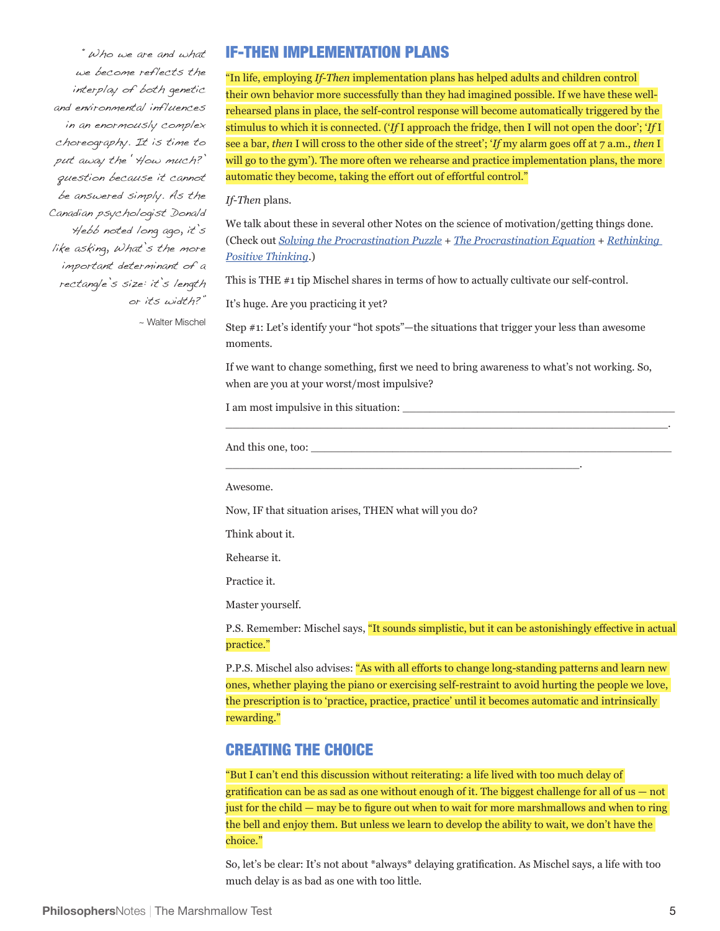"Who we are and what we become reflects the interplay of both genetic and environmental influences in an enormously complex choreography. It is time to put away the 'How much?' question because it cannot be answered simply. As the Canadian psychologist Donald Hebb noted long ago, it's like asking, What's the more important determinant of a rectangle's size: it's length or its width?"

IF-THEN IMPLEMENTATION PLANS

"In life, employing *If-Then* implementation plans has helped adults and children control their own behavior more successfully than they had imagined possible. If we have these wellrehearsed plans in place, the self-control response will become automatically triggered by the stimulus to which it is connected. ('*If* I approach the fridge, then I will not open the door'; '*If* I see a bar, *then* I will cross to the other side of the street'; '*If* my alarm goes off at 7 a.m., *then* I will go to the gym'). The more often we rehearse and practice implementation plans, the more automatic they become, taking the effort out of effortful control."

*If-Then* plans.

We talk about these in several other Notes on the science of motivation/getting things done. (Check out *[Solving the Procrastination Puzzle](https://brianjohnson.me/philosophers-notes/Solving-the-Procrastination-Puzzle/)* + *[The Procrastination Equation](https://brianjohnson.me/philosophers-notes/The-Procrastination-Equation/)* + *[Rethinking](https://brianjohnson.me/philosophers-notes/Rethinking-Positive-Thinking/)  [Positive Thinking](https://brianjohnson.me/philosophers-notes/Rethinking-Positive-Thinking/)*.)

This is THE #1 tip Mischel shares in terms of how to actually cultivate our self-control.

It's huge. Are you practicing it yet?

~ Walter Mischel

Step #1: Let's identify your "hot spots"—the situations that trigger your less than awesome moments.

If we want to change something, first we need to bring awareness to what's not working. So, when are you at your worst/most impulsive?

\_\_\_\_\_\_\_\_\_\_\_\_\_\_\_\_\_\_\_\_\_\_\_\_\_\_\_\_\_\_\_\_\_\_\_\_\_\_\_\_\_\_\_\_\_\_\_\_\_\_\_\_\_\_\_\_\_\_\_\_\_\_\_\_\_.

\_\_\_\_\_\_\_\_\_\_\_\_\_\_\_\_\_\_\_\_\_\_\_\_\_\_\_\_\_\_\_\_\_\_\_\_\_\_\_\_\_\_\_\_\_\_\_\_\_\_\_\_.

I am most impulsive in this situation:  $\overline{\phantom{a}}$ 

And this one, too:

Awesome.

Now, IF that situation arises, THEN what will you do?

Think about it.

Rehearse it.

Practice it.

Master yourself.

P.S. Remember: Mischel says, "It sounds simplistic, but it can be astonishingly effective in actual practice."

P.P.S. Mischel also advises: "As with all efforts to change long-standing patterns and learn new ones, whether playing the piano or exercising self-restraint to avoid hurting the people we love, the prescription is to 'practice, practice, practice' until it becomes automatic and intrinsically rewarding."

#### CREATING THE CHOICE

"But I can't end this discussion without reiterating: a life lived with too much delay of gratification can be as sad as one without enough of it. The biggest challenge for all of  $us - not$ just for the child — may be to figure out when to wait for more marshmallows and when to ring the bell and enjoy them. But unless we learn to develop the ability to wait, we don't have the choice."

So, let's be clear: It's not about \*always\* delaying gratification. As Mischel says, a life with too much delay is as bad as one with too little.